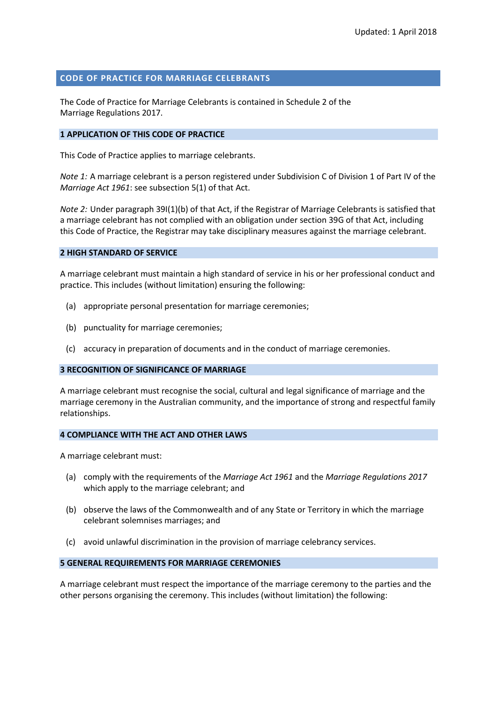## **CODE OF PRACTICE FOR MARRIAGE CELEBRANTS**

The Code of Practice for Marriage Celebrants is contained in Schedule 2 of the Marriage Regulations 2017.

### **1 APPLICATION OF THIS CODE OF PRACTICE**

This Code of Practice applies to marriage celebrants.

*Note 1:* A marriage celebrant is a person registered under Subdivision C of Division 1 of Part IV of the *Marriage Act 1961*: see subsection 5(1) of that Act.

*Note 2:* Under paragraph 39I(1)(b) of that Act, if the Registrar of Marriage Celebrants is satisfied that a marriage celebrant has not complied with an obligation under section 39G of that Act, including this Code of Practice, the Registrar may take disciplinary measures against the marriage celebrant.

#### **2 HIGH STANDARD OF SERVICE**

A marriage celebrant must maintain a high standard of service in his or her professional conduct and practice. This includes (without limitation) ensuring the following:

- (a) appropriate personal presentation for marriage ceremonies;
- (b) punctuality for marriage ceremonies;
- (c) accuracy in preparation of documents and in the conduct of marriage ceremonies.

#### **3 RECOGNITION OF SIGNIFICANCE OF MARRIAGE**

A marriage celebrant must recognise the social, cultural and legal significance of marriage and the marriage ceremony in the Australian community, and the importance of strong and respectful family relationships.

#### **4 COMPLIANCE WITH THE ACT AND OTHER LAWS**

A marriage celebrant must:

- (a) comply with the requirements of the *Marriage Act 1961* and the *Marriage Regulations 2017* which apply to the marriage celebrant; and
- (b) observe the laws of the Commonwealth and of any State or Territory in which the marriage celebrant solemnises marriages; and
- (c) avoid unlawful discrimination in the provision of marriage celebrancy services.

### **5 GENERAL REQUIREMENTS FOR MARRIAGE CEREMONIES**

A marriage celebrant must respect the importance of the marriage ceremony to the parties and the other persons organising the ceremony. This includes (without limitation) the following: